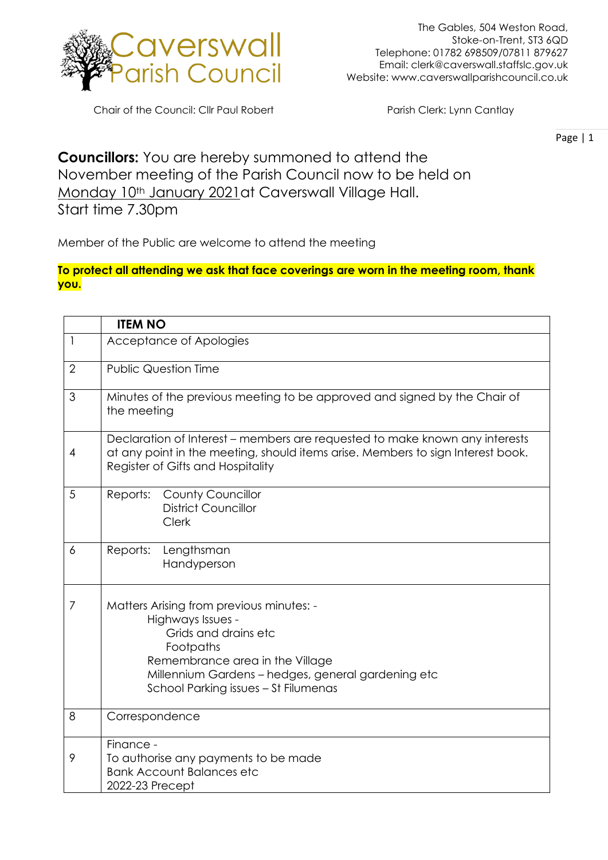

Chair of the Council: Cllr Paul Robert Parish Clerk: Lynn Cantlay

Page | 1

## **Councillors:** You are hereby summoned to attend the November meeting of the Parish Council now to be held on Monday 10th January 2021 at Caverswall Village Hall.

Start time 7.30pm

Member of the Public are welcome to attend the meeting

## **To protect all attending we ask that face coverings are worn in the meeting room, thank you.**

|                | <b>ITEM NO</b>                                                                                                                                                                                                                      |
|----------------|-------------------------------------------------------------------------------------------------------------------------------------------------------------------------------------------------------------------------------------|
| $\mathsf{l}$   | Acceptance of Apologies                                                                                                                                                                                                             |
| $\overline{2}$ | <b>Public Question Time</b>                                                                                                                                                                                                         |
| 3              | Minutes of the previous meeting to be approved and signed by the Chair of<br>the meeting                                                                                                                                            |
| $\overline{4}$ | Declaration of Interest – members are requested to make known any interests<br>at any point in the meeting, should items arise. Members to sign Interest book.<br>Register of Gifts and Hospitality                                 |
| 5              | <b>County Councillor</b><br>Reports:<br><b>District Councillor</b><br>Clerk                                                                                                                                                         |
| 6              | Reports:<br>Lengthsman<br>Handyperson                                                                                                                                                                                               |
| $\overline{7}$ | Matters Arising from previous minutes: -<br>Highways Issues -<br>Grids and drains etc<br>Footpaths<br>Remembrance area in the Village<br>Millennium Gardens - hedges, general gardening etc<br>School Parking issues - St Filumenas |
| 8              | Correspondence                                                                                                                                                                                                                      |
| 9              | Finance -<br>To authorise any payments to be made<br><b>Bank Account Balances etc</b><br>2022-23 Precept                                                                                                                            |